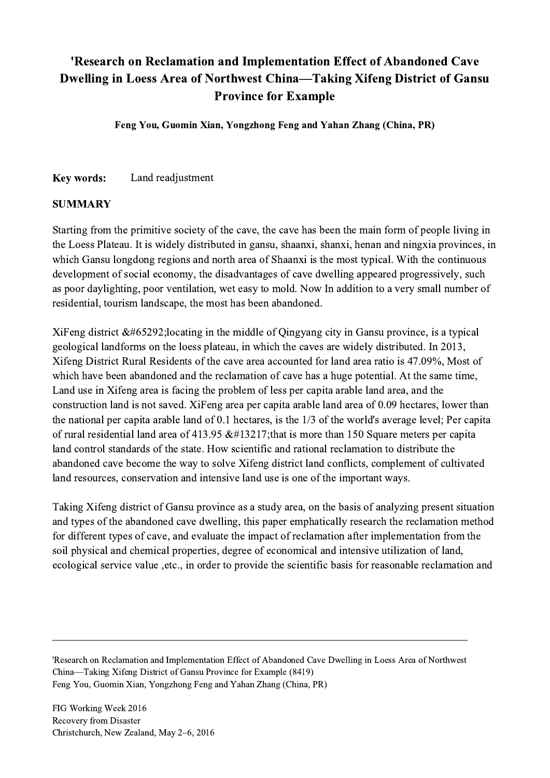## 'Research on Reclamation and Implementation Effect of Abandoned Cave Dwelling in Loess Area of Northwest China—Taking Xifeng District of Gansu Province for Example

Feng You, Guomin Xian, Yongzhong Feng and Yahan Zhang (China, PR)

Key words: Land readjustment

## SUMMARY

Starting from the primitive society of the cave, the cave has been the main form of people living in the Loess Plateau. It is widely distributed in gansu, shaanxi, shanxi, henan and ningxia provinces, in which Gansu longdong regions and north area of Shaanxi is the most typical. With the continuous development of social economy, the disadvantages of cave dwelling appeared progressively, such as poor daylighting, poor ventilation, wet easy to mold. Now In addition to a very small number of residential, tourism landscape, the most has been abandoned.

XiFeng district  $&\#65292$ ; locating in the middle of Qingyang city in Gansu province, is a typical geological landforms on the loess plateau, in which the caves are widely distributed. In 2013, Xifeng District Rural Residents of the cave area accounted for land area ratio is 47.09%, Most of which have been abandoned and the reclamation of cave has a huge potential. At the same time, Land use in Xifeng area is facing the problem of less per capita arable land area, and the construction land is not saved. XiFeng area per capita arable land area of 0.09 hectares, lower than the national per capita arable land of 0.1 hectares, is the 1/3 of the world's average level; Per capita of rural residential land area of 413.95  $&\#13217$ ; that is more than 150 Square meters per capita land control standards of the state. How scientific and rational reclamation to distribute the abandoned cave become the way to solve Xifeng district land conflicts, complement of cultivated land resources, conservation and intensive land use is one of the important ways.

Taking Xifeng district of Gansu province as a study area, on the basis of analyzing present situation and types of the abandoned cave dwelling, this paper emphatically research the reclamation method for different types of cave, and evaluate the impact of reclamation after implementation from the soil physical and chemical properties, degree of economical and intensive utilization of land, ecological service value ,etc., in order to provide the scientific basis for reasonable reclamation and

'Research on Reclamation and Implementation Effect of Abandoned Cave Dwelling in Loess Area of Northwest China—Taking Xifeng District of Gansu Province for Example (8419) Feng You, Guomin Xian, Yongzhong Feng and Yahan Zhang (China, PR)

 $\mathcal{L}_\mathcal{L} = \{ \mathcal{L}_\mathcal{L} = \{ \mathcal{L}_\mathcal{L} = \{ \mathcal{L}_\mathcal{L} = \{ \mathcal{L}_\mathcal{L} = \{ \mathcal{L}_\mathcal{L} = \{ \mathcal{L}_\mathcal{L} = \{ \mathcal{L}_\mathcal{L} = \{ \mathcal{L}_\mathcal{L} = \{ \mathcal{L}_\mathcal{L} = \{ \mathcal{L}_\mathcal{L} = \{ \mathcal{L}_\mathcal{L} = \{ \mathcal{L}_\mathcal{L} = \{ \mathcal{L}_\mathcal{L} = \{ \mathcal{L}_\mathcal{$ 

FIG Working Week 2016 Recovery from Disaster Christchurch, New Zealand, May 2–6, 2016